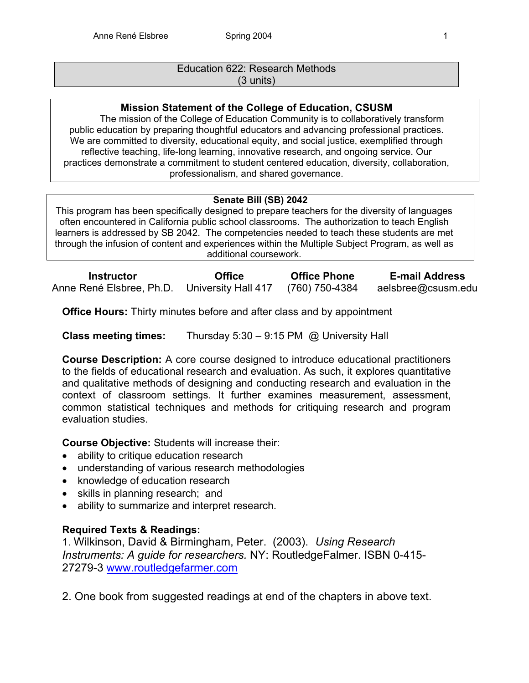## Education 622: Research Methods (3 units)

## **Mission Statement of the College of Education, CSUSM**

The mission of the College of Education Community is to collaboratively transform public education by preparing thoughtful educators and advancing professional practices. We are committed to diversity, educational equity, and social justice, exemplified through reflective teaching, life-long learning, innovative research, and ongoing service. Our practices demonstrate a commitment to student centered education, diversity, collaboration, professionalism, and shared governance.

## **Senate Bill (SB) 2042**

This program has been specifically designed to prepare teachers for the diversity of languages often encountered in California public school classrooms. The authorization to teach English learners is addressed by SB 2042. The competencies needed to teach these students are met through the infusion of content and experiences within the Multiple Subject Program, as well as additional coursework.

| <b>Instructor</b>        | <b>Office</b>       | <b>Office Phone</b> | <b>E-mail Address</b> |
|--------------------------|---------------------|---------------------|-----------------------|
| Anne René Elsbree, Ph.D. | University Hall 417 | (760) 750-4384      | aelsbree@csusm.edu    |

**Office Hours:** Thirty minutes before and after class and by appointment

**Class meeting times:** Thursday 5:30 – 9:15 PM @ University Hall

**Course Description:** A core course designed to introduce educational practitioners to the fields of educational research and evaluation. As such, it explores quantitative and qualitative methods of designing and conducting research and evaluation in the context of classroom settings. It further examines measurement, assessment, common statistical techniques and methods for critiquing research and program evaluation studies.

**Course Objective:** Students will increase their:

- ability to critique education research
- understanding of various research methodologies
- knowledge of education research
- skills in planning research; and
- ability to summarize and interpret research.

## **Required Texts & Readings:**

1. Wilkinson, David & Birmingham, Peter. (2003). *Using Research Instruments: A guide for researchers.* NY: RoutledgeFalmer. ISBN 0-415- 27279-3 www.routledgefarmer.com

2. One book from suggested readings at end of the chapters in above text.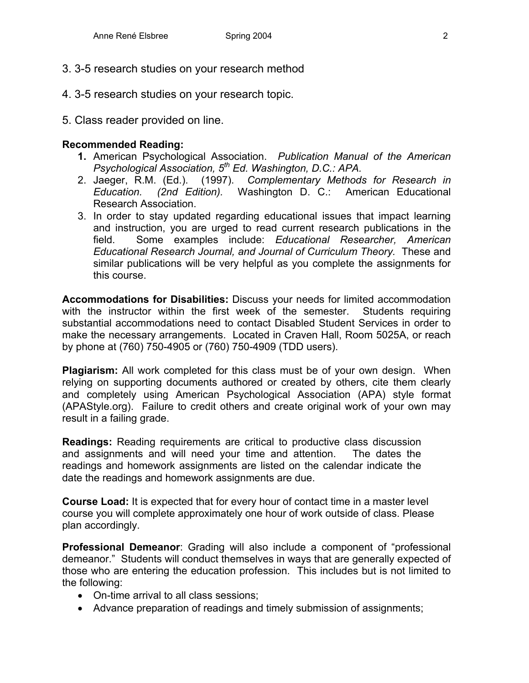- 3. 3-5 research studies on your research method
- 4. 3-5 research studies on your research topic.
- 5. Class reader provided on line.

## **Recommended Reading:**

- **1.** American Psychological Association. *Publication Manual of the American Psychological Association, 5th Ed. Washington, D.C.: APA.*
- 2. Jaeger, R.M. (Ed.). (1997). *Complementary Methods for Research in Education. (2nd Edition).* Washington D. C.: American Educational Research Association.
- 3. In order to stay updated regarding educational issues that impact learning and instruction, you are urged to read current research publications in the field. Some examples include: *Educational Researcher, American Educational Research Journal, and Journal of Curriculum Theory.* These and similar publications will be very helpful as you complete the assignments for this course.

**Accommodations for Disabilities:** Discuss your needs for limited accommodation with the instructor within the first week of the semester. Students requiring substantial accommodations need to contact Disabled Student Services in order to make the necessary arrangements. Located in Craven Hall, Room 5025A, or reach by phone at (760) 750-4905 or (760) 750-4909 (TDD users).

**Plagiarism:** All work completed for this class must be of your own design. When relying on supporting documents authored or created by others, cite them clearly and completely using American Psychological Association (APA) style format (APAStyle.org). Failure to credit others and create original work of your own may result in a failing grade.

**Readings:** Reading requirements are critical to productive class discussion and assignments and will need your time and attention. The dates the readings and homework assignments are listed on the calendar indicate the date the readings and homework assignments are due.

**Course Load:** It is expected that for every hour of contact time in a master level course you will complete approximately one hour of work outside of class. Please plan accordingly.

**Professional Demeanor**: Grading will also include a component of "professional demeanor." Students will conduct themselves in ways that are generally expected of those who are entering the education profession. This includes but is not limited to the following:

- On-time arrival to all class sessions;
- Advance preparation of readings and timely submission of assignments;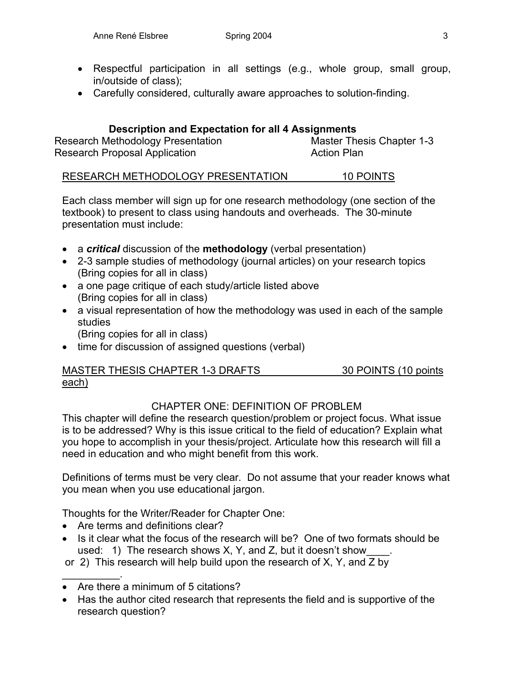- Respectful participation in all settings (e.g., whole group, small group, in/outside of class);
- Carefully considered, culturally aware approaches to solution-finding.

## **Description and Expectation for all 4 Assignments**

Research Methodology Presentation Master Thesis Chapter 1-3 Research Proposal Application **Action Plan** 

## RESEARCH METHODOLOGY PRESENTATION 10 POINTS

Each class member will sign up for one research methodology (one section of the textbook) to present to class using handouts and overheads. The 30-minute presentation must include:

- a *critical* discussion of the **methodology** (verbal presentation)
- 2-3 sample studies of methodology (journal articles) on your research topics (Bring copies for all in class)
- a one page critique of each study/article listed above (Bring copies for all in class)
- a visual representation of how the methodology was used in each of the sample studies (Bring copies for all in class)
- time for discussion of assigned questions (verbal)

## MASTER THESIS CHAPTER 1-3 DRAFTS 30 POINTS (10 points each)

## CHAPTER ONE: DEFINITION OF PROBLEM

This chapter will define the research question/problem or project focus. What issue is to be addressed? Why is this issue critical to the field of education? Explain what you hope to accomplish in your thesis/project. Articulate how this research will fill a need in education and who might benefit from this work.

Definitions of terms must be very clear. Do not assume that your reader knows what you mean when you use educational jargon.

Thoughts for the Writer/Reader for Chapter One:

• Are terms and definitions clear?

 $\frac{1}{2}$ 

- Is it clear what the focus of the research will be? One of two formats should be used: 1) The research shows  $X$ ,  $Y$ , and  $Z$ , but it doesn't show
- or 2) This research will help build upon the research of X, Y, and Z by
- Are there a minimum of 5 citations?
- Has the author cited research that represents the field and is supportive of the research question?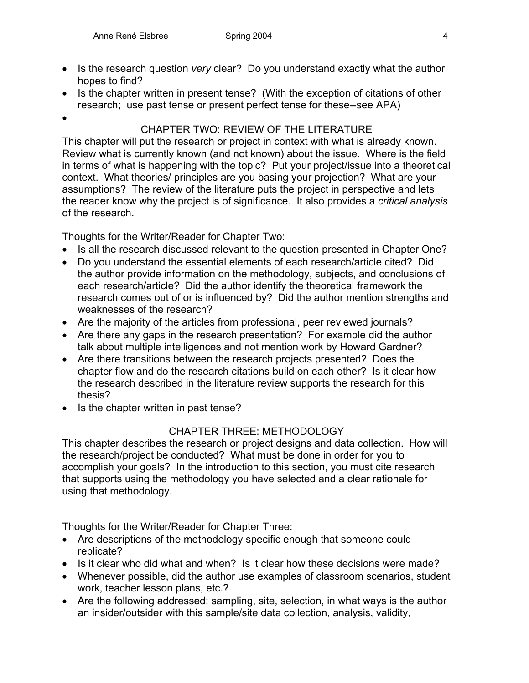- Is the research question *very* clear? Do you understand exactly what the author hopes to find?
- Is the chapter written in present tense? (With the exception of citations of other research; use past tense or present perfect tense for these--see APA)

•

## CHAPTER TWO: REVIEW OF THE LITERATURE

This chapter will put the research or project in context with what is already known. Review what is currently known (and not known) about the issue. Where is the field in terms of what is happening with the topic? Put your project/issue into a theoretical context. What theories/ principles are you basing your projection? What are your assumptions? The review of the literature puts the project in perspective and lets the reader know why the project is of significance. It also provides a *critical analysis* of the research.

Thoughts for the Writer/Reader for Chapter Two:

- Is all the research discussed relevant to the question presented in Chapter One?
- Do you understand the essential elements of each research/article cited? Did the author provide information on the methodology, subjects, and conclusions of each research/article? Did the author identify the theoretical framework the research comes out of or is influenced by? Did the author mention strengths and weaknesses of the research?
- Are the majority of the articles from professional, peer reviewed journals?
- Are there any gaps in the research presentation? For example did the author talk about multiple intelligences and not mention work by Howard Gardner?
- Are there transitions between the research projects presented? Does the chapter flow and do the research citations build on each other? Is it clear how the research described in the literature review supports the research for this thesis?
- Is the chapter written in past tense?

## CHAPTER THREE: METHODOLOGY

This chapter describes the research or project designs and data collection. How will the research/project be conducted? What must be done in order for you to accomplish your goals? In the introduction to this section, you must cite research that supports using the methodology you have selected and a clear rationale for using that methodology.

Thoughts for the Writer/Reader for Chapter Three:

- Are descriptions of the methodology specific enough that someone could replicate?
- Is it clear who did what and when? Is it clear how these decisions were made?
- Whenever possible, did the author use examples of classroom scenarios, student work, teacher lesson plans, etc.?
- Are the following addressed: sampling, site, selection, in what ways is the author an insider/outsider with this sample/site data collection, analysis, validity,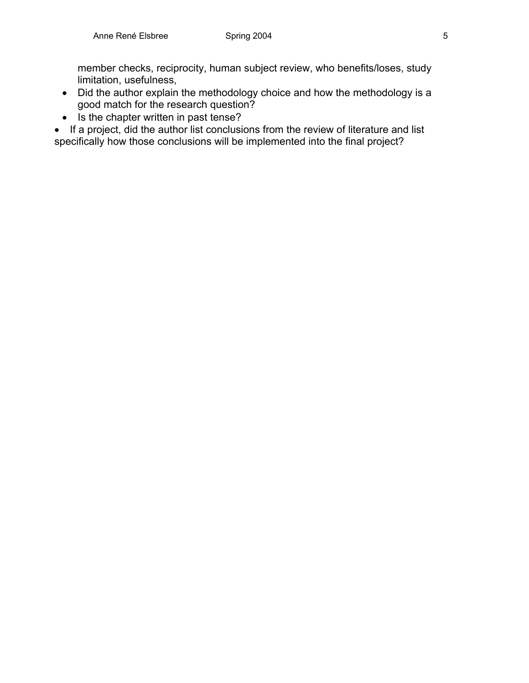member checks, reciprocity, human subject review, who benefits/loses, study limitation, usefulness,

- Did the author explain the methodology choice and how the methodology is a good match for the research question?
- Is the chapter written in past tense?

• If a project, did the author list conclusions from the review of literature and list specifically how those conclusions will be implemented into the final project?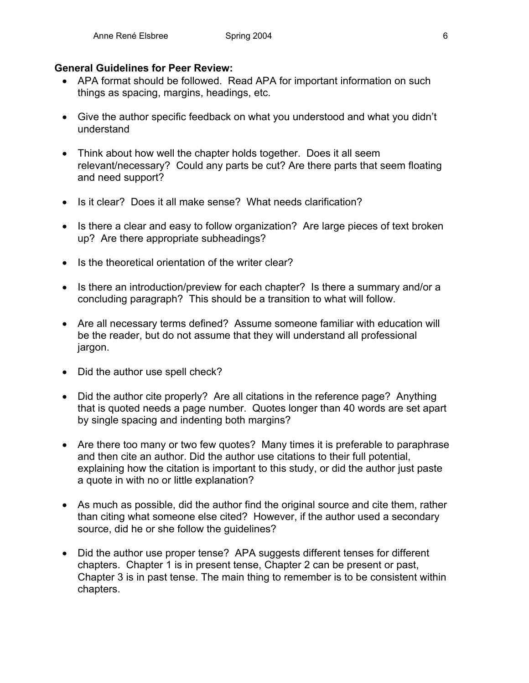## **General Guidelines for Peer Review:**

- APA format should be followed. Read APA for important information on such things as spacing, margins, headings, etc.
- Give the author specific feedback on what you understood and what you didn't understand
- Think about how well the chapter holds together. Does it all seem relevant/necessary? Could any parts be cut? Are there parts that seem floating and need support?
- Is it clear? Does it all make sense? What needs clarification?
- Is there a clear and easy to follow organization? Are large pieces of text broken up? Are there appropriate subheadings?
- Is the theoretical orientation of the writer clear?
- Is there an introduction/preview for each chapter? Is there a summary and/or a concluding paragraph? This should be a transition to what will follow.
- Are all necessary terms defined? Assume someone familiar with education will be the reader, but do not assume that they will understand all professional jargon.
- Did the author use spell check?
- Did the author cite properly? Are all citations in the reference page? Anything that is quoted needs a page number. Quotes longer than 40 words are set apart by single spacing and indenting both margins?
- Are there too many or two few quotes? Many times it is preferable to paraphrase and then cite an author. Did the author use citations to their full potential, explaining how the citation is important to this study, or did the author just paste a quote in with no or little explanation?
- As much as possible, did the author find the original source and cite them, rather than citing what someone else cited? However, if the author used a secondary source, did he or she follow the guidelines?
- Did the author use proper tense? APA suggests different tenses for different chapters. Chapter 1 is in present tense, Chapter 2 can be present or past, Chapter 3 is in past tense. The main thing to remember is to be consistent within chapters.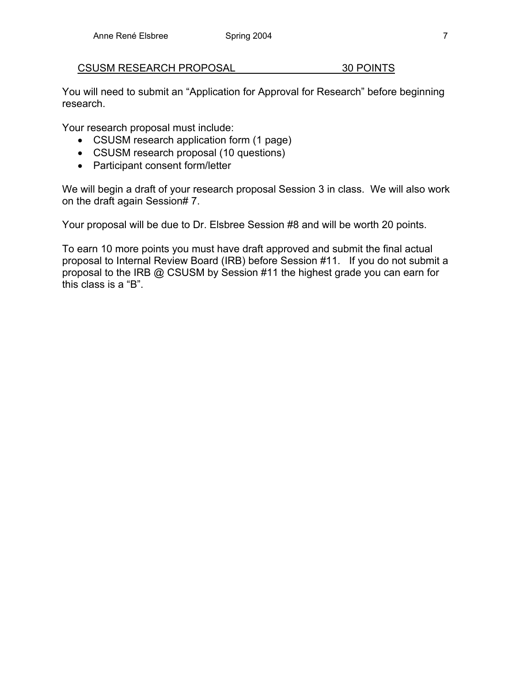CSUSM RESEARCH PROPOSAL 30 POINTS

You will need to submit an "Application for Approval for Research" before beginning research.

Your research proposal must include:

- CSUSM research application form (1 page)
- CSUSM research proposal (10 questions)
- Participant consent form/letter

We will begin a draft of your research proposal Session 3 in class. We will also work on the draft again Session# 7.

Your proposal will be due to Dr. Elsbree Session #8 and will be worth 20 points.

To earn 10 more points you must have draft approved and submit the final actual proposal to Internal Review Board (IRB) before Session #11. If you do not submit a proposal to the IRB @ CSUSM by Session #11 the highest grade you can earn for this class is a "B".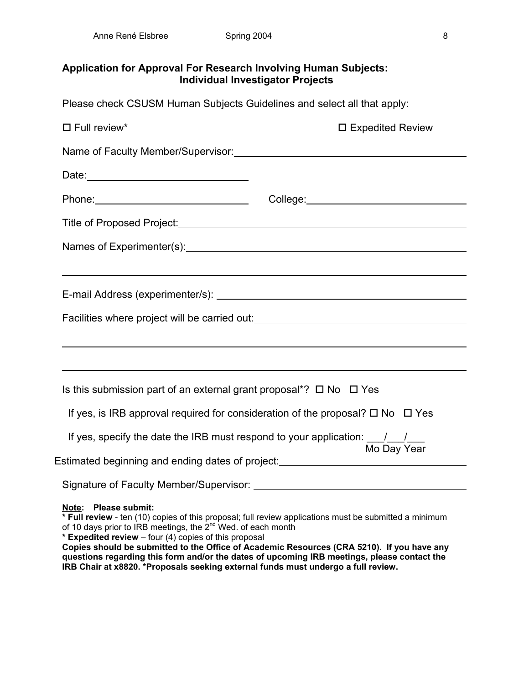## **Application for Approval For Research Involving Human Subjects: Individual Investigator Projects**

Please check CSUSM Human Subjects Guidelines and select all that apply:

| $\Box$ Full review*                                                                                                                                                                                                                            | $\square$ Expedited Review                                                                                                                                                                                                                                                                          |
|------------------------------------------------------------------------------------------------------------------------------------------------------------------------------------------------------------------------------------------------|-----------------------------------------------------------------------------------------------------------------------------------------------------------------------------------------------------------------------------------------------------------------------------------------------------|
|                                                                                                                                                                                                                                                |                                                                                                                                                                                                                                                                                                     |
|                                                                                                                                                                                                                                                |                                                                                                                                                                                                                                                                                                     |
|                                                                                                                                                                                                                                                | College: <u>__________________________________</u>                                                                                                                                                                                                                                                  |
|                                                                                                                                                                                                                                                |                                                                                                                                                                                                                                                                                                     |
|                                                                                                                                                                                                                                                |                                                                                                                                                                                                                                                                                                     |
|                                                                                                                                                                                                                                                |                                                                                                                                                                                                                                                                                                     |
|                                                                                                                                                                                                                                                |                                                                                                                                                                                                                                                                                                     |
|                                                                                                                                                                                                                                                | Facilities where project will be carried out: __________________________________                                                                                                                                                                                                                    |
|                                                                                                                                                                                                                                                |                                                                                                                                                                                                                                                                                                     |
|                                                                                                                                                                                                                                                |                                                                                                                                                                                                                                                                                                     |
| Is this submission part of an external grant proposal*? $\Box$ No $\Box$ Yes                                                                                                                                                                   |                                                                                                                                                                                                                                                                                                     |
| If yes, is IRB approval required for consideration of the proposal? $\square$ No $\square$ Yes                                                                                                                                                 |                                                                                                                                                                                                                                                                                                     |
| If yes, specify the date the IRB must respond to your application: $\frac{1}{\sqrt{2}}$                                                                                                                                                        |                                                                                                                                                                                                                                                                                                     |
| Estimated beginning and ending dates of project: _______________________________                                                                                                                                                               | Mo Day Year                                                                                                                                                                                                                                                                                         |
|                                                                                                                                                                                                                                                |                                                                                                                                                                                                                                                                                                     |
| Note: Please submit:<br>of 10 days prior to IRB meetings, the 2 <sup>nd</sup> Wed. of each month<br>* Expedited review - four (4) copies of this proposal<br>IRB Chair at x8820. *Proposals seeking external funds must undergo a full review. | * Full review - ten (10) copies of this proposal; full review applications must be submitted a minimum<br>Copies should be submitted to the Office of Academic Resources (CRA 5210). If you have any<br>questions regarding this form and/or the dates of upcoming IRB meetings, please contact the |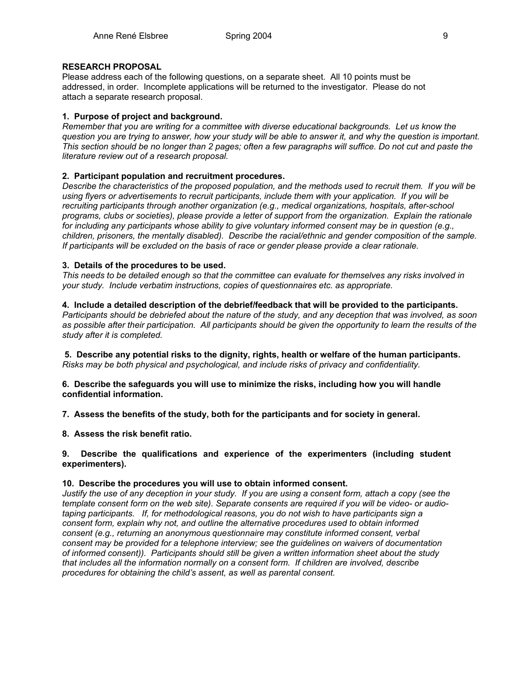#### **RESEARCH PROPOSAL**

Please address each of the following questions, on a separate sheet. All 10 points must be addressed, in order. Incomplete applications will be returned to the investigator. Please do not attach a separate research proposal.

#### **1. Purpose of project and background.**

*Remember that you are writing for a committee with diverse educational backgrounds. Let us know the question you are trying to answer, how your study will be able to answer it, and why the question is important. This section should be no longer than 2 pages; often a few paragraphs will suffice. Do not cut and paste the literature review out of a research proposal.* 

#### **2. Participant population and recruitment procedures.**

*Describe the characteristics of the proposed population, and the methods used to recruit them. If you will be using flyers or advertisements to recruit participants, include them with your application. If you will be recruiting participants through another organization (e.g., medical organizations, hospitals, after-school programs, clubs or societies), please provide a letter of support from the organization. Explain the rationale for including any participants whose ability to give voluntary informed consent may be in question (e.g., children, prisoners, the mentally disabled). Describe the racial/ethnic and gender composition of the sample. If participants will be excluded on the basis of race or gender please provide a clear rationale.* 

#### **3. Details of the procedures to be used.**

*This needs to be detailed enough so that the committee can evaluate for themselves any risks involved in your study. Include verbatim instructions, copies of questionnaires etc. as appropriate.* 

#### **4. Include a detailed description of the debrief/feedback that will be provided to the participants.**

*Participants should be debriefed about the nature of the study, and any deception that was involved, as soon as possible after their participation. All participants should be given the opportunity to learn the results of the study after it is completed.* 

 **5. Describe any potential risks to the dignity, rights, health or welfare of the human participants.**  *Risks may be both physical and psychological, and include risks of privacy and confidentiality.* 

**6. Describe the safeguards you will use to minimize the risks, including how you will handle confidential information.** 

**7. Assess the benefits of the study, both for the participants and for society in general.** 

**8. Assess the risk benefit ratio.**

**9. Describe the qualifications and experience of the experimenters (including student experimenters).** 

#### **10. Describe the procedures you will use to obtain informed consent.**

*Justify the use of any deception in your study. If you are using a consent form, attach a copy (see the template consent form on the web site). Separate consents are required if you will be video- or audiotaping participants. If, for methodological reasons, you do not wish to have participants sign a consent form, explain why not, and outline the alternative procedures used to obtain informed consent (e.g., returning an anonymous questionnaire may constitute informed consent, verbal consent may be provided for a telephone interview; see the guidelines on waivers of documentation of informed consent)). Participants should still be given a written information sheet about the study that includes all the information normally on a consent form. If children are involved, describe procedures for obtaining the child's assent, as well as parental consent.*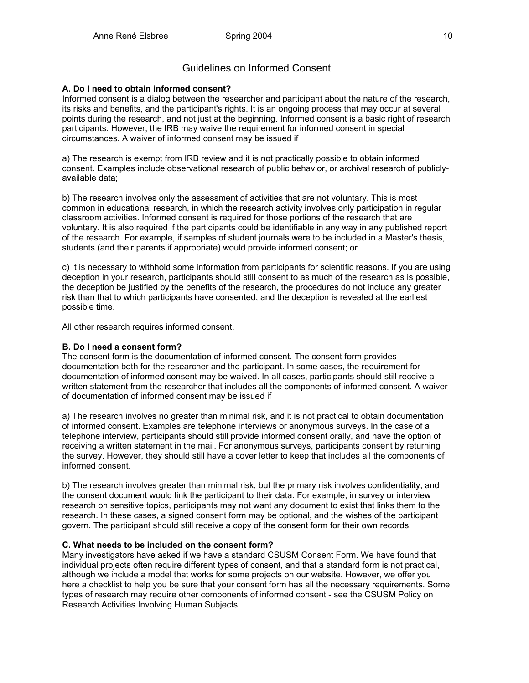## Guidelines on Informed Consent

### **A. Do I need to obtain informed consent?**

Informed consent is a dialog between the researcher and participant about the nature of the research, its risks and benefits, and the participant's rights. It is an ongoing process that may occur at several points during the research, and not just at the beginning. Informed consent is a basic right of research participants. However, the IRB may waive the requirement for informed consent in special circumstances. A waiver of informed consent may be issued if

a) The research is exempt from IRB review and it is not practically possible to obtain informed consent. Examples include observational research of public behavior, or archival research of publiclyavailable data;

b) The research involves only the assessment of activities that are not voluntary. This is most common in educational research, in which the research activity involves only participation in regular classroom activities. Informed consent is required for those portions of the research that are voluntary. It is also required if the participants could be identifiable in any way in any published report of the research. For example, if samples of student journals were to be included in a Master's thesis, students (and their parents if appropriate) would provide informed consent; or

c) It is necessary to withhold some information from participants for scientific reasons. If you are using deception in your research, participants should still consent to as much of the research as is possible, the deception be justified by the benefits of the research, the procedures do not include any greater risk than that to which participants have consented, and the deception is revealed at the earliest possible time.

All other research requires informed consent.

### **B. Do I need a consent form?**

The consent form is the documentation of informed consent. The consent form provides documentation both for the researcher and the participant. In some cases, the requirement for documentation of informed consent may be waived. In all cases, participants should still receive a written statement from the researcher that includes all the components of informed consent. A waiver of documentation of informed consent may be issued if

a) The research involves no greater than minimal risk, and it is not practical to obtain documentation of informed consent. Examples are telephone interviews or anonymous surveys. In the case of a telephone interview, participants should still provide informed consent orally, and have the option of receiving a written statement in the mail. For anonymous surveys, participants consent by returning the survey. However, they should still have a cover letter to keep that includes all the components of informed consent.

b) The research involves greater than minimal risk, but the primary risk involves confidentiality, and the consent document would link the participant to their data. For example, in survey or interview research on sensitive topics, participants may not want any document to exist that links them to the research. In these cases, a signed consent form may be optional, and the wishes of the participant govern. The participant should still receive a copy of the consent form for their own records.

#### **C. What needs to be included on the consent form?**

Many investigators have asked if we have a standard CSUSM Consent Form. We have found that individual projects often require different types of consent, and that a standard form is not practical, although we include a model that works for some projects on our website. However, we offer you here a checklist to help you be sure that your consent form has all the necessary requirements. Some types of research may require other components of informed consent - see the CSUSM Policy on Research Activities Involving Human Subjects.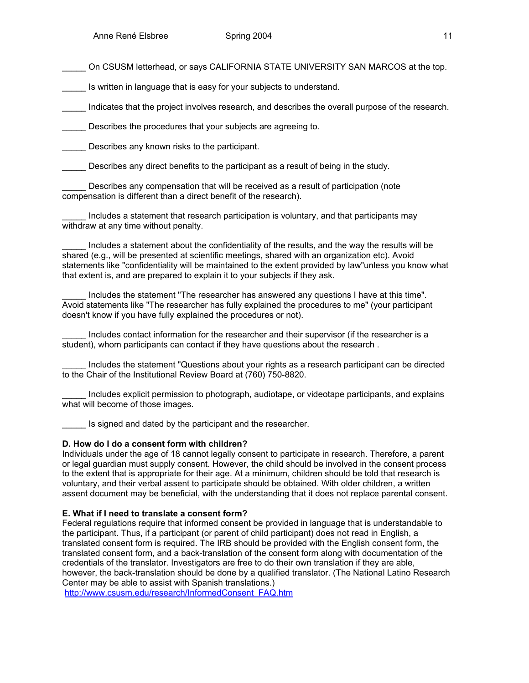On CSUSM letterhead, or says CALIFORNIA STATE UNIVERSITY SAN MARCOS at the top.

Is written in language that is easy for your subjects to understand.

\_\_\_\_\_ Indicates that the project involves research, and describes the overall purpose of the research.

Describes the procedures that your subjects are agreeing to.

Describes any known risks to the participant.

Describes any direct benefits to the participant as a result of being in the study.

Describes any compensation that will be received as a result of participation (note compensation is different than a direct benefit of the research).

Includes a statement that research participation is voluntary, and that participants may withdraw at any time without penalty.

Includes a statement about the confidentiality of the results, and the way the results will be shared (e.g., will be presented at scientific meetings, shared with an organization etc). Avoid statements like "confidentiality will be maintained to the extent provided by law"unless you know what that extent is, and are prepared to explain it to your subjects if they ask.

Includes the statement "The researcher has answered any questions I have at this time". Avoid statements like "The researcher has fully explained the procedures to me" (your participant doesn't know if you have fully explained the procedures or not).

\_\_\_\_\_ Includes contact information for the researcher and their supervisor (if the researcher is a student), whom participants can contact if they have questions about the research .

\_\_\_\_\_ Includes the statement "Questions about your rights as a research participant can be directed to the Chair of the Institutional Review Board at (760) 750-8820.

Includes explicit permission to photograph, audiotape, or videotape participants, and explains what will become of those images.

Is signed and dated by the participant and the researcher.

#### **D. How do I do a consent form with children?**

Individuals under the age of 18 cannot legally consent to participate in research. Therefore, a parent or legal guardian must supply consent. However, the child should be involved in the consent process to the extent that is appropriate for their age. At a minimum, children should be told that research is voluntary, and their verbal assent to participate should be obtained. With older children, a written assent document may be beneficial, with the understanding that it does not replace parental consent.

#### **E. What if I need to translate a consent form?**

Federal regulations require that informed consent be provided in language that is understandable to the participant. Thus, if a participant (or parent of child participant) does not read in English, a translated consent form is required. The IRB should be provided with the English consent form, the translated consent form, and a back-translation of the consent form along with documentation of the credentials of the translator. Investigators are free to do their own translation if they are able, however, the back-translation should be done by a qualified translator. (The National Latino Research Center may be able to assist with Spanish translations.)

http://www.csusm.edu/research/InformedConsent\_FAQ.htm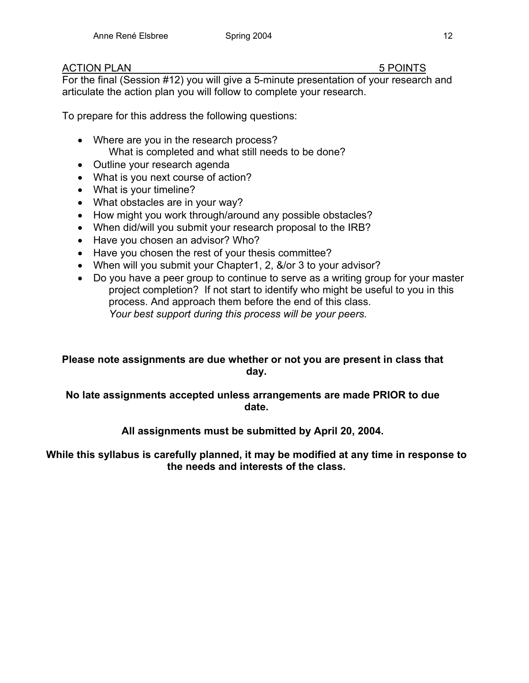## ACTION PLAN 5 POINTS

For the final (Session #12) you will give a 5-minute presentation of your research and articulate the action plan you will follow to complete your research.

To prepare for this address the following questions:

- Where are you in the research process? What is completed and what still needs to be done?
- Outline your research agenda
- What is you next course of action?
- What is your timeline?
- What obstacles are in your way?
- How might you work through/around any possible obstacles?
- When did/will you submit your research proposal to the IRB?
- Have you chosen an advisor? Who?
- Have you chosen the rest of your thesis committee?
- When will you submit your Chapter1, 2, &/or 3 to your advisor?
- Do you have a peer group to continue to serve as a writing group for your master project completion? If not start to identify who might be useful to you in this process. And approach them before the end of this class. *Your best support during this process will be your peers.*

## **Please note assignments are due whether or not you are present in class that day.**

## **No late assignments accepted unless arrangements are made PRIOR to due date.**

## **All assignments must be submitted by April 20, 2004.**

## **While this syllabus is carefully planned, it may be modified at any time in response to the needs and interests of the class.**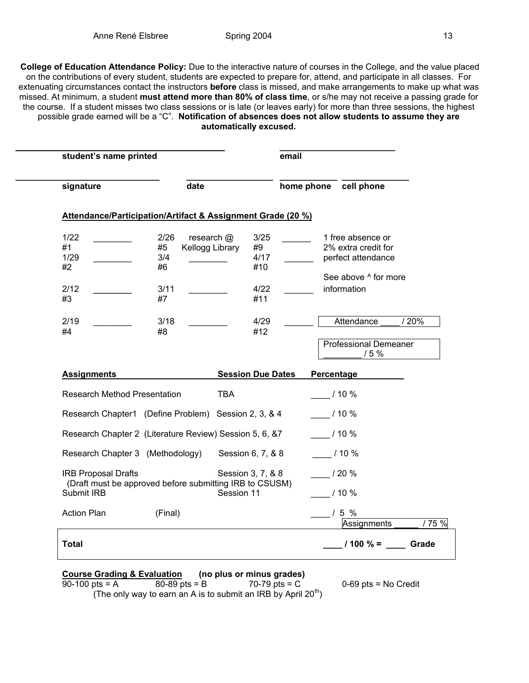**College of Education Attendance Policy:** Due to the interactive nature of courses in the College, and the value placed on the contributions of every student, students are expected to prepare for, attend, and participate in all classes. For extenuating circumstances contact the instructors **before** class is missed, and make arrangements to make up what was missed. At minimum, a student **must attend more than 80% of class time**, or s/he may not receive a passing grade for the course. If a student misses two class sessions or is late (or leaves early) for more than three sessions, the highest possible grade earned will be a "C". **Notification of absences does not allow students to assume they are automatically excused.** 

| signature                                                   | date                                                    |                 |                          |         | home phone cell phone        |       |
|-------------------------------------------------------------|---------------------------------------------------------|-----------------|--------------------------|---------|------------------------------|-------|
| Attendance/Participation/Artifact & Assignment Grade (20 %) |                                                         |                 |                          |         |                              |       |
| 1/22                                                        | 2/26                                                    | research $@$    | 3/25                     |         | 1 free absence or            |       |
| #1                                                          | #5                                                      | Kellogg Library | #9                       |         | 2% extra credit for          |       |
| 1/29                                                        | 3/4                                                     |                 | 4/17                     |         | perfect attendance           |       |
| #2                                                          | #6                                                      |                 | #10                      |         |                              |       |
|                                                             |                                                         |                 |                          |         | See above ^ for more         |       |
| 2/12                                                        | 3/11                                                    |                 | 4/22                     |         | information                  |       |
| #3                                                          | #7                                                      |                 | #11                      |         |                              |       |
| 2/19                                                        | 3/18                                                    |                 | 4/29                     |         | Attendance                   | / 20% |
| #4                                                          | #8                                                      |                 | #12                      |         |                              |       |
|                                                             |                                                         |                 |                          |         | <b>Professional Demeaner</b> |       |
|                                                             |                                                         |                 |                          |         | 15%                          |       |
|                                                             |                                                         |                 |                          |         |                              |       |
| <b>Assignments</b>                                          |                                                         |                 | <b>Session Due Dates</b> |         | Percentage                   |       |
| <b>Research Method Presentation</b>                         |                                                         | <b>TBA</b>      |                          | 110%    |                              |       |
| Research Chapter1 (Define Problem) Session 2, 3, & 4        |                                                         |                 |                          | $/10\%$ |                              |       |
| Research Chapter 2 (Literature Review) Session 5, 6, &7     |                                                         |                 |                          | $/10\%$ |                              |       |
| Research Chapter 3 (Methodology)                            |                                                         |                 | Session 6, 7, & 8        |         | $/10\%$                      |       |
| <b>IRB Proposal Drafts</b>                                  | (Draft must be approved before submitting IRB to CSUSM) |                 | Session 3, 7, & 8        | 120%    |                              |       |
| Submit IRB                                                  |                                                         | Session 11      |                          |         | /10%                         |       |
| <b>Action Plan</b>                                          | (Final)                                                 |                 |                          |         | $/5\%$                       |       |
|                                                             |                                                         |                 |                          |         | Assignments                  |       |

# **Course Grading & Evaluation** (no plus or minus grades)<br>90-100 pts = A 80-89 pts = B 70-79 pts = C

 $0-69$  pts = No Credit

(The only way to earn an A is to submit an IRB by April  $20<sup>th</sup>$ )